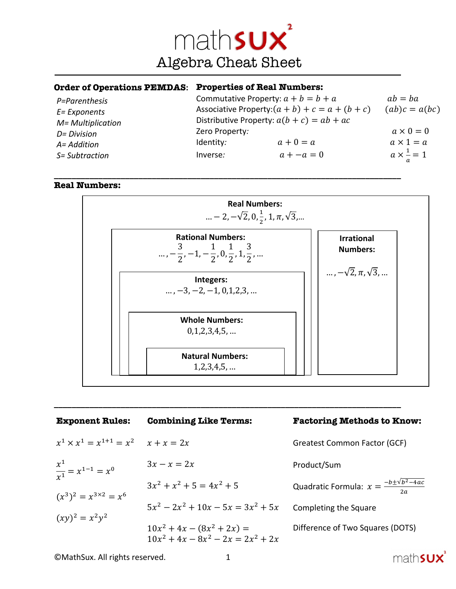

**\_\_\_\_\_\_\_\_\_\_\_\_\_\_\_\_\_\_\_\_\_\_\_\_\_\_\_\_\_\_\_\_\_\_\_\_\_\_\_\_\_\_\_\_\_\_\_\_\_\_\_\_\_\_\_\_\_\_\_\_\_\_\_\_\_\_\_\_\_\_\_\_\_\_\_\_\_\_**

#### **Order of Operations PEMDAS: Properties of Real Numbers:**

| P=Parenthesis<br>E= Exponents<br>M= Multiplication | Commutative Property: $a + b = b + a$<br>Associative Property: $(a + b) + c = a + (b + c)$<br>Distributive Property: $a(b + c) = ab + ac$<br>Zero Property: |              | $ab = ba$<br>$(ab)c = a(bc)$ |
|----------------------------------------------------|-------------------------------------------------------------------------------------------------------------------------------------------------------------|--------------|------------------------------|
| D= Division                                        |                                                                                                                                                             |              | $a \times 0 = 0$             |
| A= Addition                                        | Identity:                                                                                                                                                   | $a+0=a$      | $a \times 1 = a$             |
| S= Subtraction                                     | Inverse:                                                                                                                                                    | $a + -a = 0$ | $a \times \frac{1}{a} = 1$   |

## **Real Numbers:**



| <b>Exponent Rules:</b>                        | <b>Combining Like Terms:</b>                                         | <b>Factoring Methods to Know:</b>                        |
|-----------------------------------------------|----------------------------------------------------------------------|----------------------------------------------------------|
| $x^1 \times x^1 = x^{1+1} = x^2$ $x + x = 2x$ |                                                                      | <b>Greatest Common Factor (GCF)</b>                      |
| $\frac{x^1}{x^1} = x^{1-1} = x^0$             | $3x - x = 2x$                                                        | Product/Sum                                              |
| $(x^3)^2 = x^{3 \times 2} = x^6$              | $3x^2 + x^2 + 5 = 4x^2 + 5$                                          | Quadratic Formula: $x = \frac{-b \pm \sqrt{b^2-4ac}}{c}$ |
| $(xy)^2 = x^2y^2$                             | $5x^2 - 2x^2 + 10x - 5x = 3x^2 + 5x$                                 | Completing the Square                                    |
|                                               | $10x^2 + 4x - (8x^2 + 2x) =$<br>$10x^2 + 4x - 8x^2 - 2x = 2x^2 + 2x$ | Difference of Two Squares (DOTS)                         |

mathsux

**\_\_\_\_\_\_\_\_\_\_\_\_\_\_\_\_\_\_\_\_\_\_\_\_\_\_\_\_\_\_\_\_\_\_\_\_\_\_\_\_\_\_\_\_\_\_\_\_\_\_\_\_\_\_\_\_\_\_\_\_\_\_\_\_\_\_\_\_\_\_\_\_\_\_\_\_\_\_**

©MathSux. All rights reserved. 1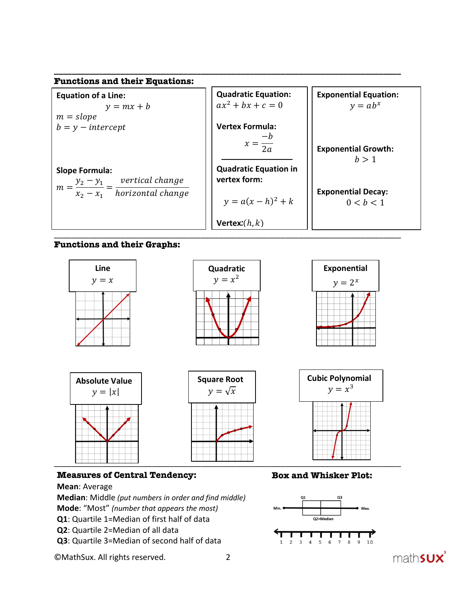

## **Functions and their Graphs:**



## **Measures of Central Tendency:**

## **Mean**: Average

**Median**: Middle *(put numbers in order and find middle)* **Mode**: "Most" *(number that appears the most)* **Q1**: Quartile 1=Median of first half of data **Q2**: Quartile 2=Median of all data **Q3**: Quartile 3=Median of second half of data

©MathSux. All rights reserved. 2

# **Box and Whisker Plot:**



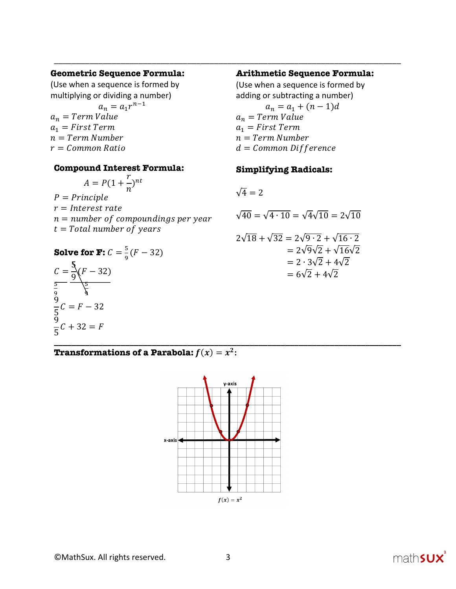#### **Geometric Sequence Formula:**

(Use when a sequence is formed by multiplying or dividing a number)  $a_n = a_1 r^{n-1}$  $a_n$  = Term Value  $a_1$  = First Term  $n = Term$  Number  $r = Common Ratio$ 

#### **Compound Interest Formula:**

$$
A = P(1 + \frac{r}{n})^{nt}
$$

 $P = Principle$  $r = Interest rate$  $n = number of compoundings per year$  $t = Total number of years$ 

**Solve for F:** 
$$
C = \frac{5}{9}(F - 32)
$$

$$
C = \frac{5}{9}(F - 32)
$$
  
\n
$$
\frac{5}{9} = \frac{6}{9}\sqrt{2 + 4\sqrt{2}}
$$
  
\n
$$
\frac{9}{5}C = F - 32
$$
  
\n
$$
\frac{9}{5}C + 32 = F
$$

#### **Arithmetic Sequence Formula:**

(Use when a sequence is formed by adding or subtracting a number)  $a_n = a_1 + (n-1)d$  $a_n$  = Term Value  $a_1$  = First Term  $n = Term$  Number  $d = Common$  Difference

## **Simplifying Radicals:**

$$
\sqrt{4} = 2
$$

\_\_\_\_\_\_\_\_\_\_\_\_\_\_\_\_\_\_\_\_\_\_\_\_\_\_\_\_\_\_\_\_\_\_\_\_\_\_\_\_\_\_\_\_\_\_\_\_\_\_\_\_\_\_\_\_\_\_\_\_\_\_\_\_\_\_\_\_\_\_\_\_\_\_\_\_\_\_

$$
\sqrt{40} = \sqrt{4 \cdot 10} = \sqrt{4}\sqrt{10} = 2\sqrt{10}
$$
  

$$
2\sqrt{18} + \sqrt{32} = 2\sqrt{9 \cdot 2} + \sqrt{16 \cdot 2}
$$
  

$$
= 2\sqrt{9}\sqrt{2} + \sqrt{16}\sqrt{2}
$$
  

$$
= 2 \cdot 3\sqrt{2} + 4\sqrt{2}
$$
  

$$
= 6\sqrt{2} + 4\sqrt{2}
$$

**Transformations of a Parabola:**  $f(x) = x^2$ :



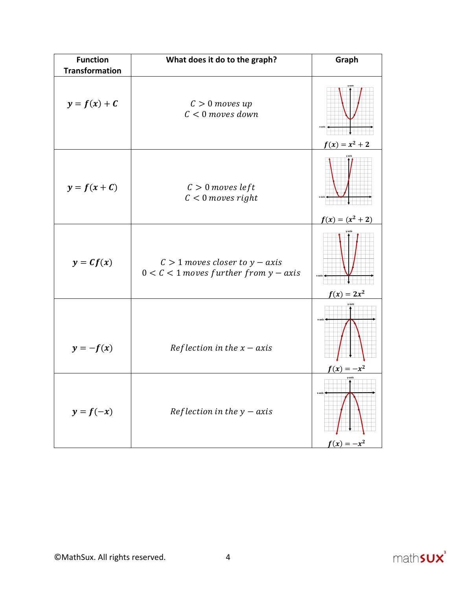| <b>Function</b><br><b>Transformation</b> | What does it do to the graph?                                                   |                         |
|------------------------------------------|---------------------------------------------------------------------------------|-------------------------|
|                                          |                                                                                 |                         |
| $y = f(x) + C$                           | $C > 0$ moves up<br>$C < 0$ moves down                                          | $f(x) = x^2 + 2$        |
|                                          |                                                                                 |                         |
| $y = f(x + C)$                           | $C > 0$ moves left<br>$C < 0$ moves right                                       |                         |
|                                          |                                                                                 | $f(x) = (x^2 + 2)$      |
| $y = cf(x)$                              | $C > 1$ moves closer to $y - axis$<br>$0 < C < 1$ moves further from $y - axis$ |                         |
|                                          |                                                                                 | $f(x) = 2x^2$           |
| $y=-f(x)$                                | Reflection in the $x - axis$                                                    | $f(x) = -x^2$           |
| $y = f(-x)$                              | Reflection in the $y - axis$                                                    | y-axis<br>$f(x) = -x^2$ |